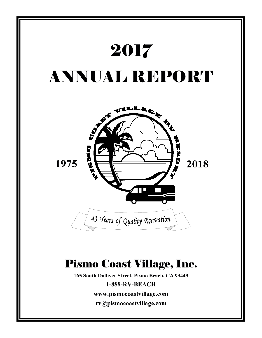

rv@pismocoastvillage.com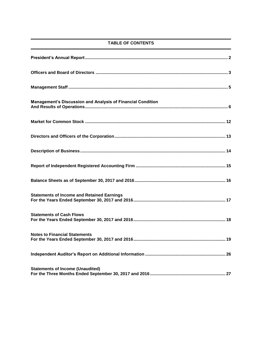## **TABLE OF CONTENTS**

| <b>Management's Discussion and Analysis of Financial Condition</b> |
|--------------------------------------------------------------------|
|                                                                    |
|                                                                    |
|                                                                    |
|                                                                    |
|                                                                    |
| <b>Statements of Income and Retained Earnings</b>                  |
| <b>Statements of Cash Flows</b>                                    |
| <b>Notes to Financial Statements</b>                               |
|                                                                    |
| <b>Statements of Income (Unaudited)</b>                            |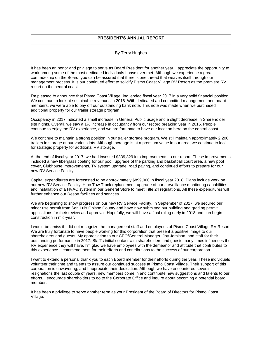## **PRESIDENT'S ANNUAL REPORT**

#### By Terry Hughes

It has been an honor and privilege to serve as Board President for another year. I appreciate the opportunity to work among some of the most dedicated individuals I have ever met. Although we experience a great comradeship on the Board, you can be assured that there is one thread that weaves itself through our management process. It is our continued effort to solidify Pismo Coast Village RV Resort as the premiere RV resort on the central coast.

I'm pleased to announce that Pismo Coast Village, Inc. ended fiscal year 2017 in a very solid financial position. We continue to look at sustainable revenues in 2018. With dedicated and committed management and board members, we were able to pay off our outstanding bank note. This note was made when we purchased additional property for our trailer storage program.

Occupancy in 2017 indicated a small increase in General Public usage and a slight decrease in Shareholder site nights. Overall, we saw a 1% increase in occupancy from our record breaking year in 2016. People continue to enjoy the RV experience, and we are fortunate to have our location here on the central coast.

We continue to maintain a strong position in our trailer storage program. We still maintain approximately 2,200 trailers in storage at our various lots. Although acreage is at a premium value in our area, we continue to look for strategic property for additional RV storage.

At the end of fiscal year 2017, we had invested \$339,329 into improvements to our resort. These improvements included a new fiberglass coating for our pool, upgrade of the parking and basketball court area, a new pool cover, Clubhouse improvements, TV system upgrade, road paving, and continued efforts to prepare for our new RV Service Facility.

Capital expenditures are forecasted to be approximately \$899,000 in fiscal year 2018. Plans include work on our new RV Service Facility, Hino Tow Truck replacement, upgrade of our surveillance monitoring capabilities and installation of a HVAC system in our General Store to meet Title 24 regulations. All these expenditures will further enhance our Resort facilities and services.

We are beginning to show progress on our new RV Service Facility. In September of 2017, we secured our minor use permit from San Luis Obispo County and have now submitted our building and grading permit applications for their review and approval. Hopefully, we will have a final ruling early in 2018 and can begin construction in mid-year.

I would be amiss if I did not recognize the management staff and employees of Pismo Coast Village RV Resort. We are truly fortunate to have people working for this corporation that present a positive image to our shareholders and guests. My appreciation to our CEO/General Manager, Jay Jamison, and staff for their outstanding performance in 2017. Staff's initial contact with shareholders and guests many times influences the RV experience they will have. I'm glad we have employees with the demeanor and attitude that contributes to this experience. I commend them for their efforts and contributions to the success of our corporation.

I want to extend a personal thank you to each Board member for their efforts during the year. These individuals volunteer their time and talents to assure our continued success at Pismo Coast Village. Their support of this corporation is unwavering, and I appreciate their dedication. Although we have encountered several resignations the last couple of years, new members come in and contribute new suggestions and talents to our efforts. I encourage shareholders to go to the Corporate Office and inquire about becoming a potential board member.

It has been a privilege to serve another term as your President of the Board of Directors for Pismo Coast Village.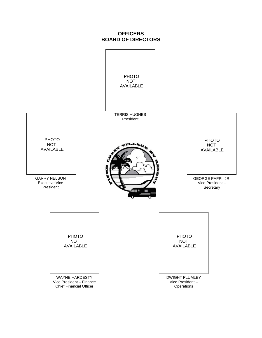# **OFFICERS BOARD OF DIRECTORS**

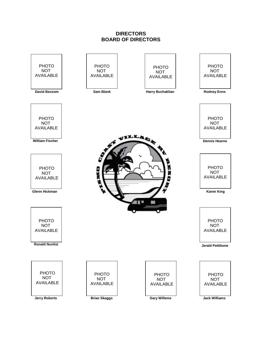# **DIRECTORS BOARD OF DIRECTORS**

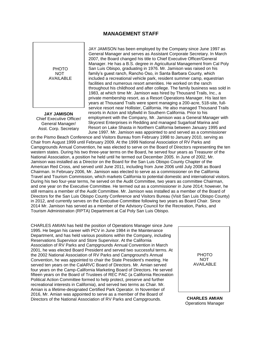## **MANAGEMENT STAFF**



**JAY JAMISON** Chief Executive Officer/ General Manager/ Asst. Corp. Secretary

JAY JAMISON has been employed by the Company since June 1997 as General Manager and serves as Assistant Corporate Secretary. In March 2007, the Board changed his title to Chief Executive Officer/General Manager. He has a B.S. degree in Agricultural Management from Cal Poly San Luis Obispo, graduating in 1976. Mr. Jamison was raised on his family's guest ranch, Rancho Oso, in Santa Barbara County, which included a recreational vehicle park, resident summer camp, equestrian facilities and numerous resort amenities. He worked on the ranch throughout his childhood and after college. The family business was sold in 1983, at which time Mr. Jamison was hired by Thousand Trails, Inc., a private membership resort, as a Resort Operations Manager. His last ten years at Thousand Trails were spent managing a 200-acre, 518-site, fullservice resort near Hollister, California. He also managed Thousand Trails resorts in Acton and Idyllwild in Southern California. Prior to his employment with the Company, Mr. Jamison was a General Manager with Skycrest Enterprises in Redding and managed Sugarloaf Marina and Resort on Lake Shasta in Northern California between January 1995 and June 1997. Mr. Jamison was appointed to and served as a commissioner

on the Pismo Beach Conference and Visitors Bureau from February 1998 to January 2010, serving as Chair from August 1999 until February 2009. At the 1999 National Association of RV Parks and Campgrounds Annual Convention, he was elected to serve on the Board of Directors representing the ten western states. During his two three-year terms on the Board, he served four years as Treasurer of the National Association, a position he held until he termed out December 2005. In June of 2002, Mr. Jamison was installed as a Director on the Board for the San Luis Obispo County Chapter of the American Red Cross, and served until June 2011, including from June 2006 until July 2008 as Board Chairman. In February 2006, Mr. Jamison was elected to serve as a commissioner on the California Travel and Tourism Commission, which markets California to potential domestic and international visitors. During his two four-year terms, he served on the Audit Committee, two years as committee Chairman, and one year on the Executive Committee. He termed out as a commissioner in June 2014; however, he still remains a member of the Audit Committee. Mr. Jamison was installed as a member of the Board of Directors for the San Luis Obispo County Conference and Visitors Bureau (Visit San Luis Obispo County) in 2012, and currently serves on the Executive Committee following two years as Board Chair. Since 2014 Mr. Jamison has served as a member of the Advisory Council for the Recreation, Parks, and Tourism Administration (RPTA) Department at Cal Poly San Luis Obispo.

CHARLES AMIAN has held the position of Operations Manager since June 1995. He began his career with PCV in June 1984 in the Maintenance Department, and has held various positions within the Company, including Reservations Supervisor and Store Supervisor. At the California Association of RV Parks and Campgrounds Annual Convention in March 2001, he was elected Board President and served two successful terms. At the 2002 National Association of RV Parks and Campground's Annual Convention, he was appointed to chair the State President's meeting. He served ten years on the CalARVC Board of Directors. Mr. Amian served four years on the Camp-California Marketing Board of Directors. He served fifteen years on the Board of Trustees of REC PAC (a California Recreation Political Action Committee formed to help protect, preserve and further recreational interests in California), and served two terms as Chair. Mr. Amian is a lifetime-designated Certified Park Operator. In November of 2016, Mr. Amian was appointed to serve as a member of the Board of Directors of the National Association of RV Parks and Campgrounds. **CHARLES AMIAN**



Operations Manager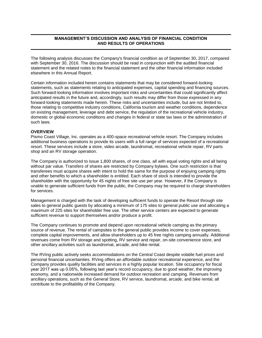## **MANAGEMENT'S DISCUSSION AND ANALYSIS OF FINANCIAL CONDITION AND RESULTS OF OPERATIONS**

The following analysis discusses the Company's financial condition as of September 30, 2017, compared with September 30, 2016. The discussion should be read in conjunction with the audited financial statement and the related notes to the financial statement and the other financial information included elsewhere in this Annual Report.

Certain information included herein contains statements that may be considered forward-looking statements, such as statements relating to anticipated expenses, capital spending and financing sources. Such forward-looking information involves important risks and uncertainties that could significantly affect anticipated results in the future and, accordingly, such results may differ from those expressed in any forward-looking statements made herein. These risks and uncertainties include, but are not limited to, those relating to competitive industry conditions, California tourism and weather conditions, dependence on existing management, leverage and debt service, the regulation of the recreational vehicle industry, domestic or global economic conditions and changes in federal or state tax laws or the administration of such laws.

#### **OVERVIEW**

Pismo Coast Village, Inc. operates as a 400-space recreational vehicle resort. The Company includes additional business operations to provide its users with a full range of services expected of a recreational resort. These services include a store, video arcade, laundromat, recreational vehicle repair, RV parts shop and an RV storage operation.

The Company is authorized to issue 1,800 shares, of one class, all with equal voting rights and all being without par value. Transfers of shares are restricted by Company bylaws. One such restriction is that transferees must acquire shares with intent to hold the same for the purpose of enjoying camping rights and other benefits to which a shareholder is entitled. Each share of stock is intended to provide the shareholder with the opportunity for 45 nights of free site use per year. However, if the Company is unable to generate sufficient funds from the public, the Company may be required to charge shareholders for services.

Management is charged with the task of developing sufficient funds to operate the Resort through site sales to general public guests by allocating a minimum of 175 sites to general public use and allocating a maximum of 225 sites for shareholder free use. The other service centers are expected to generate sufficient revenue to support themselves and/or produce a profit.

The Company continues to promote and depend upon recreational vehicle camping as the primary source of revenue. The rental of campsites to the general public provides income to cover expenses, complete capital improvements, and allow shareholders up to 45 free nights camping annually. Additional revenues come from RV storage and spotting, RV service and repair, on-site convenience store, and other ancillary activities such as laundromat, arcade, and bike rental.

The RVing public actively seeks accommodations on the Central Coast despite volatile fuel prices and personal financial uncertainties. RVing offers an affordable outdoor recreational experience, and the Company provides quality facilities and services in a highly popular location. Site occupancy for fiscal year 2017 was up 0.05%, following last year's record occupancy, due to good weather, the improving economy, and a nationwide increased demand for outdoor recreation and camping. Revenues from ancillary operations, such as the General Store, RV service, laundromat, arcade, and bike rental, all contribute to the profitability of the Company.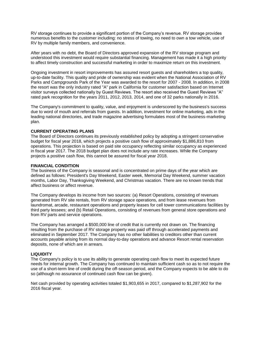RV storage continues to provide a significant portion of the Company's revenue. RV storage provides numerous benefits to the customer including: no stress of towing, no need to own a tow vehicle, use of RV by multiple family members, and convenience.

After years with no debt, the Board of Directors approved expansion of the RV storage program and understood this investment would require substantial financing. Management has made it a high priority to affect timely construction and successful marketing in order to maximize return on this investment.

Ongoing investment in resort improvements has assured resort guests and shareholders a top quality, up-to-date facility. This quality and pride of ownership was evident when the National Association of RV Parks and Campgrounds Park of the Year was awarded to the resort for 2007 - 2008. In addition, in 2008 the resort was the only industry rated "A" park in California for customer satisfaction based on Internet visitor surveys collected nationally by Guest Reviews. The resort also received the Guest Reviews "A" rated park recognition for the years 2011, 2012, 2013, 2014, and one of 32 parks nationally in 2016.

The Company's commitment to quality, value, and enjoyment is underscored by the business's success due to word of mouth and referrals from guests. In addition, investment for online marketing, ads in the leading national directories, and trade magazine advertising formulates most of the business-marketing plan.

#### **CURRENT OPERATING PLANS**

The Board of Directors continues its previously established policy by adopting a stringent conservative budget for fiscal year 2018, which projects a positive cash flow of approximately \$1,886,810 from operations. This projection is based on paid site occupancy reflecting similar occupancy as experienced in fiscal year 2017. The 2018 budget plan does not include any rate increases. While the Company projects a positive cash flow, this cannot be assured for fiscal year 2018.

## **FINANCIAL CONDITION**

The business of the Company is seasonal and is concentrated on prime days of the year which are defined as follows: President's Day Weekend, Easter week, Memorial Day Weekend, summer vacation months, Labor Day, Thanksgiving Weekend, and Christmas vacation. There are no known trends that affect business or affect revenue.

The Company develops its income from two sources: (a) Resort Operations, consisting of revenues generated from RV site rentals, from RV storage space operations, and from lease revenues from laundromat, arcade, restaurant operations and property leases for cell tower communications facilities by third party lessees; and (b) Retail Operations, consisting of revenues from general store operations and from RV parts and service operations.

The Company has arranged a \$500,000 line of credit that is currently not drawn on. The financing resulting from the purchase of RV storage property was paid off through accelerated payments and eliminated in September 2017. The Company has no other liabilities to creditors other than current accounts payable arising from its normal day-to-day operations and advance Resort rental reservation deposits, none of which are in arrears.

## **LIQUIDITY**

The Company's policy is to use its ability to generate operating cash flow to meet its expected future needs for internal growth. The Company has continued to maintain sufficient cash so as to not require the use of a short-term line of credit during the off-season period, and the Company expects to be able to do so (although no assurance of continued cash flow can be given).

Net cash provided by operating activities totaled \$1,903,655 in 2017, compared to \$1,287,902 for the 2016 fiscal year.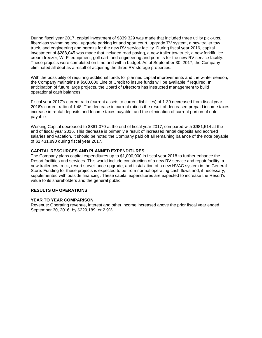During fiscal year 2017, capital investment of \$339,329 was made that included three utility pick-ups, fiberglass swimming pool, upgrade parking lot and sport court, upgrade TV system, a new trailer tow truck, and engineering and permits for the new RV service facility. During fiscal year 2016, capital investment of \$288,045 was made that included road paving, a new trailer tow truck, a new forklift, ice cream freezer, Wi-Fi equipment, golf cart, and engineering and permits for the new RV service facility. These projects were completed on time and within budget. As of September 30, 2017, the Company eliminated all debt as a result of acquiring the three RV storage properties.

With the possibility of requiring additional funds for planned capital improvements and the winter season, the Company maintains a \$500,000 Line of Credit to insure funds will be available if required. In anticipation of future large projects, the Board of Directors has instructed management to build operational cash balances.

Fiscal year 2017's current ratio (current assets to current liabilities) of 1.39 decreased from fiscal year 2016's current ratio of 1.48. The decrease in current ratio is the result of decreased prepaid income taxes, increase in rental deposits and Income taxes payable, and the elimination of current portion of note payable.

Working Capital decreased to \$861,070 at the end of fiscal year 2017, compared with \$981,514 at the end of fiscal year 2016. This decrease is primarily a result of increased rental deposits and accrued salaries and vacation. It should be noted the Company paid off all remaining balance of the note payable of \$1,431,890 during fiscal year 2017.

#### **CAPITAL RESOURCES AND PLANNED EXPENDITURES**

The Company plans capital expenditures up to \$1,000,000 in fiscal year 2018 to further enhance the Resort facilities and services. This would include construction of a new RV service and repair facility, a new trailer tow truck, resort surveillance upgrade, and installation of a new HVAC system in the General Store. Funding for these projects is expected to be from normal operating cash flows and, if necessary, supplemented with outside financing. These capital expenditures are expected to increase the Resort's value to its shareholders and the general public.

### **RESULTS OF OPERATIONS**

#### **YEAR TO YEAR COMPARISON**

Revenue: Operating revenue, interest and other income increased above the prior fiscal year ended September 30, 2016, by \$229,189, or 2.9%.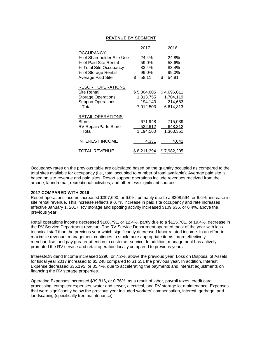#### **REVENUE BY SEGMENT**

|                                                                                                                                              | 2017                                             | 2016                                             |
|----------------------------------------------------------------------------------------------------------------------------------------------|--------------------------------------------------|--------------------------------------------------|
| <b>OCCUPANCY</b><br>% of Shareholder Site Use<br>% of Paid Site Rental<br>% Total Site Occupancy<br>% of Storage Rental<br>Average Paid Site | 24.4%<br>59.0%<br>83.4%<br>99.0%<br>58.11<br>\$  | 24.8%<br>58.6%<br>83.4%<br>99.0%<br>\$<br>54.91  |
| <b>RESORT OPERATIONS</b><br>Site Rental<br><b>Storage Operations</b><br><b>Support Operations</b><br>Total                                   | \$5,004,605<br>1,813,755<br>194,143<br>7,012,503 | \$4,696,011<br>1,704,119<br>214,683<br>6,614,813 |
| <b>RETAIL OPERATIONS</b><br>Store<br><b>RV Repair/Parts Store</b><br>Total                                                                   | 671,948<br>522,612<br>1,194,560                  | 715,039<br>648,312<br>1,363,351                  |
| <b>INTEREST INCOME</b>                                                                                                                       | 4,331                                            | 4,041                                            |
| <b>TOTAL REVENUE</b>                                                                                                                         | \$ 8,211,394                                     | \$ 7.982,205                                     |

Occupancy rates on the previous table are calculated based on the quantity occupied as compared to the total sites available for occupancy (i.e., total occupied to number of total available). Average paid site is based on site revenue and paid sites. Resort support operations include revenues received from the arcade, laundromat, recreational activities, and other less significant sources.

#### **2017 COMPARED WITH 2016**

Resort operations income increased \$397,690, or 6.0%, primarily due to a \$308,594, or 6.6%, increase in site rental revenue. This increase reflects a 0.7% increase in paid site occupancy and rate increases effective January 1, 2017. RV storage and spotting activity increased \$109,636, or 6.4%, above the previous year.

Retail operations income decreased \$168,791, or 12.4%, partly due to a \$125,701, or 19.4%, decrease in the RV Service Department revenue. The RV Service Department operated most of the year with less technical staff than the previous year which significantly decreased labor related income. In an effort to maximize revenue, management continues to stock more appropriate items, more effectively merchandise, and pay greater attention to customer service. In addition, management has actively promoted the RV service and retail operation locally compared to previous years.

Interest/Dividend Income increased \$290, or 7.2%, above the previous year. Loss on Disposal of Assets for fiscal year 2017 increased to \$5,248 compared to \$1,551 the previous year. In addition, Interest Expense decreased \$35,195, or 35.4%, due to accelerating the payments and interest adjustments on financing the RV storage properties.

Operating Expenses increased \$39,816, or 0.76%, as a result of labor, payroll taxes, credit card processing, computer expenses, water and sewer, electrical, and RV storage lot maintenance. Expenses that were significantly below the previous year included workers' compensation, interest, garbage, and landscaping (specifically tree maintenance).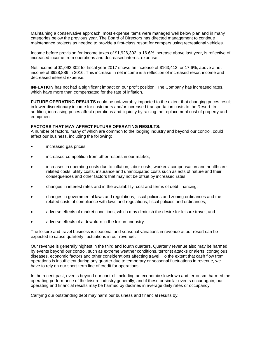Maintaining a conservative approach, most expense items were managed well below plan and in many categories below the previous year. The Board of Directors has directed management to continue maintenance projects as needed to provide a first-class resort for campers using recreational vehicles.

Income before provision for income taxes of \$1,926,302, a 16.6% increase above last year, is reflective of increased income from operations and decreased interest expense.

Net income of \$1,092,302 for fiscal year 2017 shows an increase of \$163,413, or 17.6%, above a net income of \$928,889 in 2016. This increase in net income is a reflection of increased resort income and decreased interest expense.

**INFLATION** has not had a significant impact on our profit position. The Company has increased rates, which have more than compensated for the rate of inflation.

**FUTURE OPERATING RESULTS** could be unfavorably impacted to the extent that changing prices result in lower discretionary income for customers and/or increased transportation costs to the Resort. In addition, increasing prices affect operations and liquidity by raising the replacement cost of property and equipment.

## **FACTORS THAT MAY AFFECT FUTURE OPERATING RESULTS:**

A number of factors, many of which are common to the lodging industry and beyond our control, could affect our business, including the following:

- increased gas prices;
- increased competition from other resorts in our market;
- increases in operating costs due to inflation, labor costs, workers' compensation and healthcare related costs, utility costs, insurance and unanticipated costs such as acts of nature and their consequences and other factors that may not be offset by increased rates;
- changes in interest rates and in the availability, cost and terms of debt financing;
- changes in governmental laws and regulations, fiscal policies and zoning ordinances and the related costs of compliance with laws and regulations, fiscal policies and ordinances;
- adverse effects of market conditions, which may diminish the desire for leisure travel; and
- adverse effects of a downturn in the leisure industry.

The leisure and travel business is seasonal and seasonal variations in revenue at our resort can be expected to cause quarterly fluctuations in our revenue.

Our revenue is generally highest in the third and fourth quarters. Quarterly revenue also may be harmed by events beyond our control, such as extreme weather conditions, terrorist attacks or alerts, contagious diseases, economic factors and other considerations affecting travel. To the extent that cash flow from operations is insufficient during any quarter due to temporary or seasonal fluctuations in revenue, we have to rely on our short-term line of credit for operations.

In the recent past, events beyond our control, including an economic slowdown and terrorism, harmed the operating performance of the leisure industry generally, and if these or similar events occur again, our operating and financial results may be harmed by declines in average daily rates or occupancy.

Carrying our outstanding debt may harm our business and financial results by: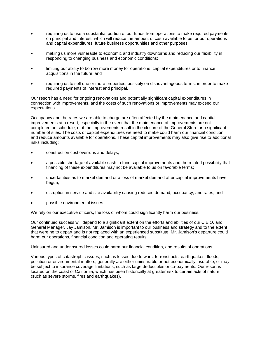- requiring us to use a substantial portion of our funds from operations to make required payments on principal and interest, which will reduce the amount of cash available to us for our operations and capital expenditures, future business opportunities and other purposes;
- making us more vulnerable to economic and industry downturns and reducing our flexibility in responding to changing business and economic conditions;
- limiting our ability to borrow more money for operations, capital expenditures or to finance acquisitions in the future; and
- requiring us to sell one or more properties, possibly on disadvantageous terms, in order to make required payments of interest and principal.

Our resort has a need for ongoing renovations and potentially significant capital expenditures in connection with improvements, and the costs of such renovations or improvements may exceed our expectations.

Occupancy and the rates we are able to charge are often affected by the maintenance and capital improvements at a resort, especially in the event that the maintenance of improvements are not completed on schedule, or if the improvements result in the closure of the General Store or a significant number of sites. The costs of capital expenditures we need to make could harm our financial condition and reduce amounts available for operations. These capital improvements may also give rise to additional risks including:

- construction cost overruns and delays;
- a possible shortage of available cash to fund capital improvements and the related possibility that financing of these expenditures may not be available to us on favorable terms;
- uncertainties as to market demand or a loss of market demand after capital improvements have begun;
- disruption in service and site availability causing reduced demand, occupancy, and rates; and
- possible environmental issues.

We rely on our executive officers, the loss of whom could significantly harm our business.

Our continued success will depend to a significant extent on the efforts and abilities of our C.E.O. and General Manager, Jay Jamison. Mr. Jamison is important to our business and strategy and to the extent that were he to depart and is not replaced with an experienced substitute, Mr. Jamison's departure could harm our operations, financial condition and operating results.

Uninsured and underinsured losses could harm our financial condition, and results of operations.

Various types of catastrophic issues, such as losses due to wars, terrorist acts, earthquakes, floods, pollution or environmental matters, generally are either uninsurable or not economically insurable, or may be subject to insurance coverage limitations, such as large deductibles or co-payments. Our resort is located on the coast of California, which has been historically at greater risk to certain acts of nature (such as severe storms, fires and earthquakes).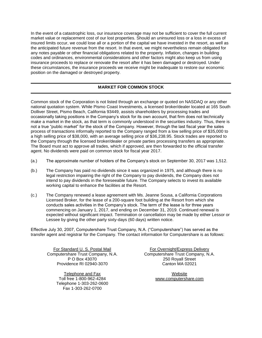In the event of a catastrophic loss, our insurance coverage may not be sufficient to cover the full current market value or replacement cost of our lost properties. Should an uninsured loss or a loss in excess of insured limits occur, we could lose all or a portion of the capital we have invested in the resort, as well as the anticipated future revenue from the resort. In that event, we might nevertheless remain obligated for any notes payable or other financial obligations related to the property. Inflation, changes in building codes and ordinances, environmental considerations and other factors might also keep us from using insurance proceeds to replace or renovate the resort after it has been damaged or destroyed. Under these circumstances, the insurance proceeds we receive might be inadequate to restore our economic position on the damaged or destroyed property.

## **MARKET FOR COMMON STOCK**

Common stock of the Corporation is not listed through an exchange or quoted on NASDAQ or any other national quotation system. While Pismo Coast Investments, a licensed broker/dealer located at 165 South Dolliver Street, Pismo Beach, California 93449, assists shareholders by processing trades and occasionally taking positions in the Company's stock for its own account, that firm does not technically make a market in the stock, as that term is commonly understood in the securities industry. Thus, there is not a true "public market" for the stock of the Company. However, through the last fiscal year the sales process of transactions informally reported to the Company ranged from a low selling price of \$35,000 to a high selling price of \$38,000, with an average selling price of \$36,238.95. Stock trades are reported to the Company through the licensed broker/dealer or private parties processing transfers as appropriate. The Board must act to approve all trades, which if approved, are then forwarded to the official transfer agent. No dividends were paid on common stock for fiscal year 2017.

- (a.) The approximate number of holders of the Company's stock on September 30, 2017 was 1,512.
- (b.) The Company has paid no dividends since it was organized in 1975, and although there is no legal restriction impairing the right of the Company to pay dividends, the Company does not intend to pay dividends in the foreseeable future. The Company selects to invest its available working capital to enhance the facilities at the Resort.
- (c.) The Company renewed a lease agreement with Ms. Jeanne Sousa, a California Corporations Licensed Broker, for the lease of a 200-square foot building at the Resort from which she conducts sales activities in the Company's stock. The term of the lease is for three years commencing on January 1, 2017, and ending on December 31, 2019. Continued renewal is expected without significant impact. Termination or cancellation may be made by either Lessor or Lessee by giving the other party sixty-days (60 days) written notice.

Effective July 30, 2007, Computershare Trust Company, N.A. ("Computershare") has served as the transfer agent and registrar for the Company. The contact information for Computershare is as follows:

Providence RI 02940-3070 Canton MA 02021

Telephone and Fax Website Toll free 1-800-962-4284 [www.computershare.com](http://www.computershare.com/) Telephone 1-303-262-0600 Fax 1-303-262-0700

For Standard U. S. Postal Mail For Overnight/Express Delivery Computershare Trust Company, N.A. Computershare Trust Company, N.A. P O Box 43070 250 Royall Street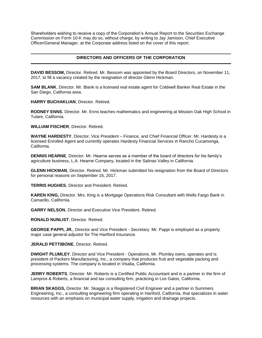Shareholders wishing to receive a copy of the Corporation's Annual Report to the Securities Exchange Commission on Form 10-K may do so, without charge, by writing to Jay Jamison, Chief Executive Officer/General Manager, at the Corporate address listed on the cover of this report.

## **DIRECTORS AND OFFICERS OF THE CORPORATION**

**DAVID BESSOM,** Director. Retired. Mr. Bessom was appointed by the Board Directors, on November 11, 2017, to fill a vacancy created by the resignation of director Glenn Hickman.

**SAM BLANK**, Director. Mr. Blank is a licensed real estate agent for Coldwell Banker Real Estate in the San Diego, California area.

**HARRY BUCHAKLIAN**, Director. Retired.

**RODNEY ENNS**, Director. Mr. Enns teaches mathematics and engineering at Mission Oak High School in Tulare, California.

**WILLIAM FISCHER**, Director. Retired.

**WAYNE HARDESTY**, Director, Vice President – Finance, and Chief Financial Officer. Mr. Hardesty is a licensed Enrolled Agent and currently operates Hardesty Financial Services in Rancho Cucamonga, California.

**DENNIS HEARNE**, Director. Mr. Hearne serves as a member of the board of directors for his family's agriculture business, L.A. Hearne Company, located in the Salinas Valley in California.

**GLENN HICKMAN**, Director. Retired. Mr. Hickman submitted his resignation from the Board of Directors for personal reasons on September 16, 2017.

**TERRIS HUGHES**, Director and President. Retired.

**KAREN KING,** Director. Mrs. King is a Mortgage Operations Risk Consultant with Wells Fargo Bank in Camarillo, California.

**GARRY NELSON**, Director and Executive Vice President. Retired.

**RONALD NUNLIST**, Director. Retired.

**GEORGE PAPPI, JR.**, Director and Vice President - Secretary. Mr. Pappi is employed as a property major case general adjustor for The Hartford Insurance.

**JERALD PETTIBONE**, Director. Retired.

**DWIGHT PLUMLEY**, Director and Vice President - Operations. Mr. Plumley owns, operates and is president of Packers Manufacturing, Inc., a company that produces fruit and vegetable packing and processing systems. The company is located in Visalia, California.

**JERRY ROBERTS**, Director. Mr. Roberts is a Certified Public Accountant and is a partner in the firm of Lampros & Roberts, a financial and tax consulting firm, practicing in Los Gatos, California.

**BRIAN SKAGGS,** Director. Mr. Skaggs is a Registered Civil Engineer and a partner in Summers Engineering, Inc., a consulting engineering firm operating in Hanford, California, that specializes in water resources with an emphasis on municipal water supply, irrigation and drainage projects.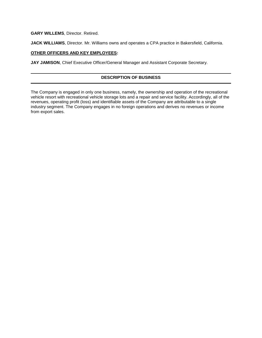**GARY WILLEMS**, Director. Retired.

**JACK WILLIAMS**, Director. Mr. Williams owns and operates a CPA practice in Bakersfield, California.

## **OTHER OFFICERS AND KEY EMPLOYEES:**

**JAY JAMISON**, Chief Executive Officer/General Manager and Assistant Corporate Secretary.

## **DESCRIPTION OF BUSINESS**

The Company is engaged in only one business, namely, the ownership and operation of the recreational vehicle resort with recreational vehicle storage lots and a repair and service facility. Accordingly, all of the revenues, operating profit (loss) and identifiable assets of the Company are attributable to a single industry segment. The Company engages in no foreign operations and derives no revenues or income from export sales.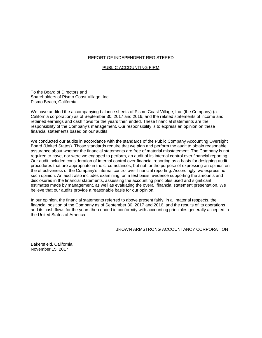#### REPORT OF INDEPENDENT REGISTERED

#### PUBLIC ACCOUNTING FIRM

To the Board of Directors and Shareholders of Pismo Coast Village, Inc. Pismo Beach, California

We have audited the accompanying balance sheets of Pismo Coast Village, Inc. (the Company) (a California corporation) as of September 30, 2017 and 2016, and the related statements of income and retained earnings and cash flows for the years then ended. These financial statements are the responsibility of the Company's management. Our responsibility is to express an opinion on these financial statements based on our audits.

We conducted our audits in accordance with the standards of the Public Company Accounting Oversight Board (United States). Those standards require that we plan and perform the audit to obtain reasonable assurance about whether the financial statements are free of material misstatement. The Company is not required to have, nor were we engaged to perform, an audit of its internal control over financial reporting. Our audit included consideration of internal control over financial reporting as a basis for designing audit procedures that are appropriate in the circumstances, but not for the purpose of expressing an opinion on the effectiveness of the Company's internal control over financial reporting. Accordingly, we express no such opinion. An audit also includes examining, on a test basis, evidence supporting the amounts and disclosures in the financial statements, assessing the accounting principles used and significant estimates made by management, as well as evaluating the overall financial statement presentation. We believe that our audits provide a reasonable basis for our opinion.

In our opinion, the financial statements referred to above present fairly, in all material respects, the financial position of the Company as of September 30, 2017 and 2016, and the results of its operations and its cash flows for the years then ended in conformity with accounting principles generally accepted in the United States of America.

BROWN ARMSTRONG ACCOUNTANCY CORPORATION

Bakersfield, California November 15, 2017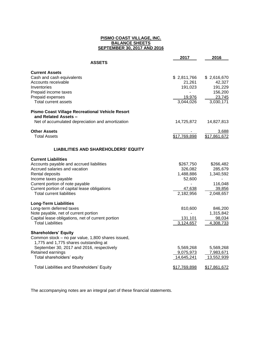#### **PISMO COAST VILLAGE, INC. BALANCE SHEETS SEPTEMBER 30, 2017 AND 2016**

|                                                                                  | 2017         | 2016         |
|----------------------------------------------------------------------------------|--------------|--------------|
| <b>ASSETS</b>                                                                    |              |              |
| <b>Current Assets</b>                                                            |              |              |
| Cash and cash equivalents                                                        | \$2,811,766  | \$2,616,670  |
| Accounts receivable                                                              | 21,261       | 42,327       |
| Inventories                                                                      | 191,023      | 191,229      |
| Prepaid income taxes                                                             |              | 156,200      |
| Prepaid expenses                                                                 | 19,976       | 23,745       |
| Total current assets                                                             | 3,044,026    | 3,030,171    |
| <b>Pismo Coast Village Recreational Vehicle Resort</b>                           |              |              |
| and Related Assets –                                                             |              |              |
| Net of accumulated depreciation and amortization                                 | 14,725,872   | 14,827,813   |
| <b>Other Assets</b>                                                              |              | 3,688        |
| <b>Total Assets</b>                                                              | \$17,769,898 | \$17,861,672 |
| <b>LIABILITIES AND SHAREHOLDERS' EQUITY</b>                                      |              |              |
| <b>Current Liabilities</b>                                                       |              |              |
| Accounts payable and accrued liabilities                                         | \$267,750    | \$266,482    |
| Accrued salaries and vacation                                                    | 326,082      | 285,679      |
| Rental deposits                                                                  | 1,488,886    | 1,340,592    |
| Income taxes payable                                                             | 52,600       |              |
| Current portion of note payable                                                  |              | 116,048      |
| Current portion of capital lease obligations                                     | 47,638       | 39,856       |
| <b>Total current liabilities</b>                                                 | 2,182,956    | 2,048,657    |
| <b>Long-Term Liabilities</b>                                                     |              |              |
| Long-term deferred taxes                                                         | 810,600      | 846,200      |
| Note payable, net of current portion                                             |              | 1,315,842    |
| Capital lease obligations, net of current portion                                | 131,101      | 98,034       |
| <b>Total Liabilities</b>                                                         | 3,124,657    | 4,308,733    |
|                                                                                  |              |              |
| <b>Shareholders' Equity</b><br>Common stock - no par value, 1,800 shares issued, |              |              |
| 1,775 and 1,775 shares outstanding at                                            |              |              |
| September 30, 2017 and 2016, respectively                                        | 5,569,268    | 5,569,268    |
| Retained earnings                                                                | 9,075,973    | 7,983,671    |
| Total shareholders' equity                                                       | 14,645,241   | 13,552,939   |
| Total Liabilities and Shareholders' Equity                                       | \$17,769,898 | \$17,861,672 |

The accompanying notes are an integral part of these financial statements.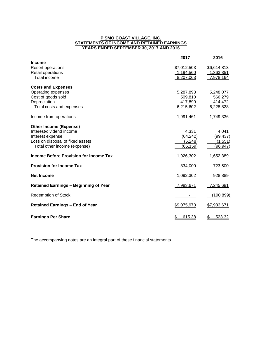#### **PISMO COAST VILLAGE, INC. STATEMENTS OF INCOME AND RETAINED EARNINGS YEARS ENDED SEPTEMBER 30, 2017 AND 2016**

|                                              | 2017         | 2016         |
|----------------------------------------------|--------------|--------------|
| <b>Income</b>                                |              |              |
| Resort operations                            | \$7,012,503  | \$6,614,813  |
| Retail operations                            | 1,194,560    | 1,363,351    |
| Total income                                 | 8,207,063    | 7,978,164    |
| <b>Costs and Expenses</b>                    |              |              |
| Operating expenses                           | 5,287,893    | 5,248,077    |
| Cost of goods sold                           | 509,810      | 566,279      |
| Depreciation                                 | 417,899      | 414,472      |
| Total costs and expenses                     | 6,215,602    | 6,228,828    |
| Income from operations                       | 1,991,461    | 1,749,336    |
| <b>Other Income (Expense)</b>                |              |              |
| Interest/dividend income                     | 4,331        | 4,041        |
| Interest expense                             | (64, 242)    | (99, 437)    |
| Loss on disposal of fixed assets             | (5, 248)     | (1, 551)     |
| Total other income (expense)                 | (65, 159)    | (96,947)     |
| Income Before Provision for Income Tax       | 1,926,302    | 1,652,389    |
| <b>Provision for Income Tax</b>              | 834,000      | 723,500      |
| <b>Net Income</b>                            | 1,092,302    | 928,889      |
| <b>Retained Earnings - Beginning of Year</b> | 7,983,671    | 7,245,681    |
| <b>Redemption of Stock</b>                   |              | (190, 899)   |
| <b>Retained Earnings - End of Year</b>       | \$9,075,973  | \$7,983,671  |
| <b>Earnings Per Share</b>                    | \$<br>615.38 | 523.32<br>\$ |

The accompanying notes are an integral part of these financial statements.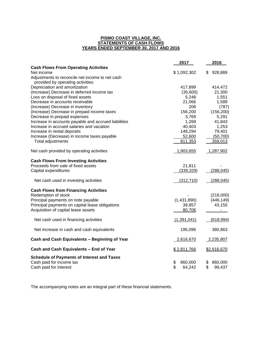#### **PISMO COAST VILLAGE, INC. STATEMENTS OF CASH FLOWS YEARS ENDED SEPTEMBER 30, 2017 AND 2016**

|                                                                                                         | 2017                          | 2016                          |
|---------------------------------------------------------------------------------------------------------|-------------------------------|-------------------------------|
| <b>Cash Flows From Operating Activities</b>                                                             |                               |                               |
| Net income                                                                                              | \$1,092,302                   | 928,889<br>S.                 |
| Adjustments to reconcile net income to net cash                                                         |                               |                               |
| provided by operating activities:                                                                       |                               |                               |
| Depreciation and amortization                                                                           | 417,899                       | 414,472                       |
| (Increase) Decrease in deferred income tax                                                              | (35,600)                      | 21,300                        |
| Loss on disposal of fixed assets                                                                        | 5,248                         | 1,551                         |
| Decrease in accounts receivable                                                                         | 21,066                        | 1,589                         |
| (Increase) Decrease in inventory                                                                        | 206                           | (787)                         |
| (Increase) Decrease in prepaid income taxes                                                             | 156,200                       | (156, 200)                    |
| Decrease in prepaid expenses                                                                            | 3,769                         | 5,291                         |
| Increase in accounts payable and accrued liabilities                                                    | 1,268                         | 41,843                        |
| Increase in accrued salaries and vacation                                                               | 40,403                        | 1,253                         |
| Increase in rental deposits                                                                             | 148,294                       | 79,401                        |
| Increase (Decrease) in income taxes payable                                                             | 52,600                        | (50, 700)                     |
| Total adjustments                                                                                       | 811,353                       | 359,013                       |
| Net cash provided by operating activities                                                               | 1,903,655                     | 1,287,902                     |
| <b>Cash Flows From Investing Activities</b>                                                             |                               |                               |
| Proceeds from sale of fixed assets                                                                      | 21,811                        |                               |
| Capital expenditures                                                                                    | (339, 329)                    | (288, 045)                    |
| Net cash used in investing activities                                                                   | (312, 710)                    | (288, 045)                    |
| <b>Cash Flows from Financing Activities</b>                                                             |                               |                               |
| Redemption of stock                                                                                     |                               | (216,000)                     |
| Principal payments on note payable                                                                      | (1,431,890)                   | (446, 149)                    |
| Principal payments on capital lease obligations                                                         | 39,857                        | 43,155                        |
| Acquisition of capital lease assets                                                                     | 80,706                        | ä,                            |
| Net cash used in financing activities                                                                   | (1,391,041)                   | (618, 994)                    |
| Net increase in cash and cash equivalents                                                               | 195,096                       | 380,863                       |
| Cash and Cash Equivalents - Beginning of Year                                                           | 2,616,670                     | 2,235,807                     |
| Cash and Cash Equivalents - End of Year                                                                 | \$2,811,766                   | \$2,616,670                   |
| <b>Schedule of Payments of Interest and Taxes</b><br>Cash paid for income tax<br>Cash paid for interest | \$<br>860,000<br>\$<br>64,242 | 860,000<br>\$<br>\$<br>99,437 |

The accompanying notes are an integral part of these financial statements.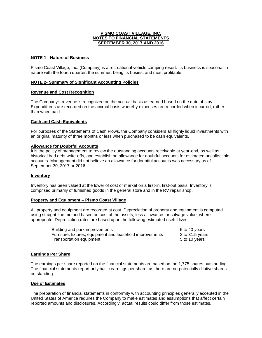## **NOTE 1 - Nature of Business**

Pismo Coast Village, Inc. (Company) is a recreational vehicle camping resort. Its business is seasonal in nature with the fourth quarter, the summer, being its busiest and most profitable.

#### **NOTE 2- Summary of Significant Accounting Policies**

#### **Revenue and Cost Recognition**

The Company's revenue is recognized on the accrual basis as earned based on the date of stay. Expenditures are recorded on the accrual basis whereby expenses are recorded when incurred, rather than when paid.

#### **Cash and Cash Equivalents**

For purposes of the Statements of Cash Flows, the Company considers all highly liquid investments with an original maturity of three months or less when purchased to be cash equivalents.

#### **Allowance for Doubtful Accounts**

It is the policy of management to review the outstanding accounts receivable at year-end, as well as historical bad debt write-offs, and establish an allowance for doubtful accounts for estimated uncollectible accounts. Management did not believe an allowance for doubtful accounts was necessary as of September 30, 2017 or 2016.

#### **Inventory**

Inventory has been valued at the lower of cost or market on a first-in, first-out basis. Inventory is comprised primarily of furnished goods in the general store and in the RV repair shop.

#### **Property and Equipment – Pismo Coast Village**

All property and equipment are recorded at cost. Depreciation of property and equipment is computed using straight-line method based on cost of the assets, less allowance for salvage value, where appropriate. Depreciation rates are based upon the following estimated useful lives:

| Building and park improvements                            | 5 to 40 years   |
|-----------------------------------------------------------|-----------------|
| Furniture, fixtures, equipment and leasehold improvements | 3 to 31.5 years |
| Transportation equipment                                  | 5 to 10 years   |

#### **Earnings Per Share**

The earnings per share reported on the financial statements are based on the 1,775 shares outstanding. The financial statements report only basic earnings per share, as there are no potentially dilutive shares outstanding.

#### **Use of Estimates**

The preparation of financial statements in conformity with accounting principles generally accepted in the United States of America requires the Company to make estimates and assumptions that affect certain reported amounts and disclosures. Accordingly, actual results could differ from those estimates.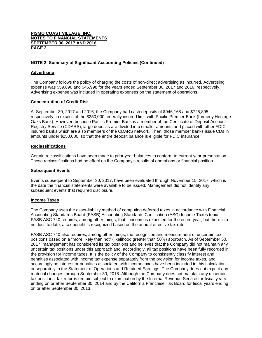## **NOTE 2- Summary of Significant Accounting Policies (Continued)**

### **Advertising**

The Company follows the policy of charging the costs of non-direct advertising as incurred. Advertising expense was \$59,890 and \$46,998 for the years ended September 30, 2017 and 2016, respectively. Advertising expense was included in operating expenses on the statement of operations.

## **Concentration of Credit Risk**

At September 30, 2017 and 2016, the Company had cash deposits of \$946,168 and \$725,895, respectively, in excess of the \$250,000 federally insured limit with Pacific Premier Bank (formerly Heritage Oaks Bank). However, because Pacific Premier Bank is a member of the Certificate of Deposit Account Registry Service (CDARS), large deposits are divided into smaller amounts and placed with other FDIC insured banks which are also members of the CDARS network. Then, those member banks issue CDs in amounts under \$250,000, so that the entire deposit balance is eligible for FDIC insurance.

#### **Reclassifications**

Certain reclassifications have been made to prior year balances to conform to current year presentation. These reclassifications had no effect on the Company's results of operations or financial position.

#### **Subsequent Events**

Events subsequent to September 30, 2017, have been evaluated through November 15, 2017, which is the date the financial statements were available to be issued. Management did not identify any subsequent events that required disclosure.

#### **Income Taxes**

The Company uses the asset-liability method of computing deferred taxes in accordance with Financial Accounting Standards Board (FASB) Accounting Standards Codification (ASC) Income Taxes topic. FASB ASC 740 requires, among other things, that if income is expected for the entire year, but there is a net loss to date, a tax benefit is recognized based on the annual effective tax rate.

FASB ASC 740 also requires, among other things, the recognition and measurement of uncertain tax positions based on a "more likely than not" (likelihood greater than 50%) approach. As of September 30, 2017, management has considered its tax positions and believes that the Company did not maintain any uncertain tax positions under this approach and, accordingly, all tax positions have been fully recorded in the provision for income taxes. It is the policy of the Company to consistently classify interest and penalties associated with income tax expense separately from the provision for income taxes, and accordingly no interest or penalties associated with income taxes have been included in this calculation, or separately in the Statement of Operations and Retained Earnings. The Company does not expect any material changes through September 30, 2018. Although the Company does not maintain any uncertain tax positions, tax returns remain subject to examination by the Internal Revenue Service for fiscal years ending on or after September 30, 2014 and by the California Franchise Tax Board for fiscal years ending on or after September 30, 2013.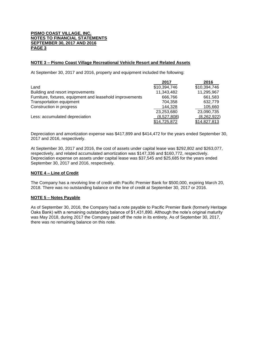## **NOTE 3 – Pismo Coast Village Recreational Vehicle Resort and Related Assets**

At September 30, 2017 and 2016, property and equipment included the following:

|                                                           | 2017         | 2016         |
|-----------------------------------------------------------|--------------|--------------|
| Land                                                      | \$10,394,746 | \$10,394,746 |
| Building and resort improvements                          | 11,343,482   | 11,295,967   |
| Furniture, fixtures, equipment and leasehold improvements | 666.766      | 661,583      |
| Transportation equipment                                  | 704.358      | 632,779      |
| Construction in progress                                  | 144,328      | 105,660      |
|                                                           | 23,253,680   | 23,090,735   |
| Less: accumulated depreciation                            | (8,527,808)  | (8,262,922)  |
|                                                           | \$14,725,872 | \$14,827,813 |

Depreciation and amortization expense was \$417,899 and \$414,472 for the years ended September 30, 2017 and 2016, respectively.

At September 30, 2017 and 2016, the cost of assets under capital lease was \$292,802 and \$263,077, respectively, and related accumulated amortization was \$147,336 and \$160,772, respectively. Depreciation expense on assets under capital lease was \$37,545 and \$25,685 for the years ended September 30, 2017 and 2016, respectively.

#### **NOTE 4 – Line of Credit**

The Company has a revolving line of credit with Pacific Premier Bank for \$500,000, expiring March 20, 2018. There was no outstanding balance on the line of credit at September 30, 2017 or 2016.

#### **NOTE 5 – Notes Payable**

As of September 30, 2016, the Company had a note payable to Pacific Premier Bank (formerly Heritage Oaks Bank) with a remaining outstanding balance of \$1,431,890. Although the note's original maturity was May 2018, during 2017 the Company paid off the note in its entirety. As of September 30, 2017, there was no remaining balance on this note.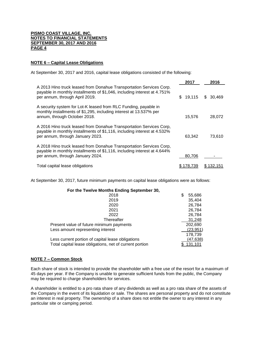#### **NOTE 6 – Capital Lease Obligations**

At September 30, 2017 and 2016, capital lease obligations consisted of the following:

|                                                                                                                                                                                     | 2017         | 2016      |
|-------------------------------------------------------------------------------------------------------------------------------------------------------------------------------------|--------------|-----------|
| A 2013 Hino truck leased from Donahue Transportation Services Corp.<br>payable in monthly installments of \$1,046, including interest at 4.751%<br>per annum, through April 2019.   | 19,115<br>\$ | \$ 30.469 |
| A security system for Lot-K leased from RLC Funding, payable in<br>monthly installments of \$1,295, including interest at 13.537% per<br>annum, through October 2018.               | 15,576       | 28,072    |
| A 2016 Hino truck leased from Donahue Transportation Services Corp,<br>payable in monthly installments of \$1,116, including interest at 4.532%<br>per annum, through January 2023. | 63.342       | 73,610    |
| A 2018 Hino truck leased from Donahue Transportation Services Corp,<br>payable in monthly installments of \$1,116, including interest at 4.644%<br>per annum, through January 2024. | 80.706       |           |
| Total capital lease obligations                                                                                                                                                     | 78.739       |           |

At September 30, 2017, future minimum payments on capital lease obligations were as follows:

| For the Twelve Months Ending September 30,              |   |           |
|---------------------------------------------------------|---|-----------|
| 2018                                                    | S | 55,686    |
| 2019                                                    |   | 35,404    |
| 2020                                                    |   | 26,784    |
| 2021                                                    |   | 26,784    |
| 2022                                                    |   | 26,784    |
| Thereafter                                              |   | 31,248    |
| Present value of future minimum payments                |   | 202,690   |
| Less amount representing interest                       |   | (23, 951) |
|                                                         |   | 178,739   |
| Less current portion of capital lease obligations       |   | (47,638)  |
| Total capital lease obligations, net of current portion |   | 131,101   |

#### **NOTE 7 – Common Stock**

Each share of stock is intended to provide the shareholder with a free use of the resort for a maximum of 45 days per year. If the Company is unable to generate sufficient funds from the public, the Company may be required to charge shareholders for services.

A shareholder is entitled to a pro rata share of any dividends as well as a pro rata share of the assets of the Company in the event of its liquidation or sale. The shares are personal property and do not constitute an interest in real property. The ownership of a share does not entitle the owner to any interest in any particular site or camping period.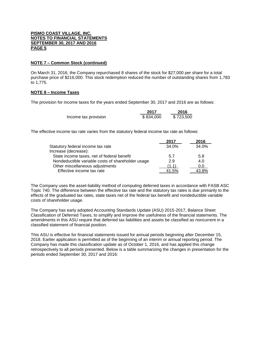### **NOTE 7 – Common Stock (continued)**

On March 31, 2016, the Company repurchased 8 shares of the stock for \$27,000 per share for a total purchase price of \$216,000. This stock redemption reduced the number of outstanding shares from 1,783 to 1,775.

## **NOTE 8 – Income Taxes**

The provision for income taxes for the years ended September 30, 2017 and 2016 are as follows:

|                      | 2017      | 2016      |
|----------------------|-----------|-----------|
| Income tax provision | \$834,000 | \$723,500 |

The effective income tax rate varies from the statutory federal income tax rate as follows:

|                                                   | 2017  | 2016  |
|---------------------------------------------------|-------|-------|
| Statutory federal income tax rate                 | 34.0% | 34.0% |
| Increase (decrease):                              |       |       |
| State income taxes, net of federal benefit        | 5.7   | 5.8   |
| Nondeductible variable costs of shareholder usage | 2.9   | 4.0   |
| Other miscellaneous adjustments                   | (1.1) | 0.0   |
| Effective income tax rate                         | 41.5% | 43.8% |

The Company uses the asset-liability method of computing deferred taxes in accordance with FASB ASC Topic 740. The difference between the effective tax rate and the statutory tax rates is due primarily to the effects of the graduated tax rates, state taxes net of the federal tax benefit and nondeductible variable costs of shareholder usage.

The Company has early adopted Accounting Standards Update (ASU) 2015-2017, Balance Sheet Classification of Deferred Taxes, to simplify and improve the usefulness of the financial statements. The amendments in this ASU require that deferred tax liabilities and assets be classified as noncurrent in a classified statement of financial position.

This ASU is effective for financial statements issued for annual periods beginning after December 15, 2018. Earlier application is permitted as of the beginning of an interim or annual reporting period. The Company has made this classification update as of October 1, 2016, and has applied this change retrospectively to all periods presented. Below is a table summarizing the changes in presentation for the periods ended September 30, 2017 and 2016: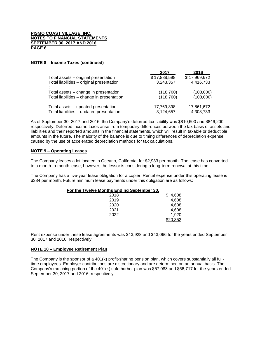### **NOTE 8 – Income Taxes (continued)**

|                                            | 2017         | 2016         |
|--------------------------------------------|--------------|--------------|
| Total assets - original presentation       | \$17,888,598 | \$17,969,672 |
| Total liabilities - original presentation  | 3,243,357    | 4,416,733    |
| Total assets – change in presentation      | (118, 700)   | (108,000)    |
| Total liabilities - change in presentation | (118, 700)   | (108,000)    |
| Total assets - updated presentation        | 17,769,898   | 17,861,672   |
| Total liabilities - updated presentation   | 3,124,657    | 4,308,733    |

As of September 30, 2017 and 2016, the Company's deferred tax liability was \$810,600 and \$846,200, respectively. Deferred income taxes arise from temporary differences between the tax basis of assets and liabilities and their reported amounts in the financial statements, which will result in taxable or deductible amounts in the future. The majority of the balance is due to timing differences of depreciation expense, caused by the use of accelerated depreciation methods for tax calculations.

## **NOTE 9 – Operating Leases**

The Company leases a lot located in Oceano, California, for \$2,933 per month. The lease has converted to a month-to-month lease; however, the lessor is considering a long-term renewal at this time.

The Company has a five-year lease obligation for a copier. Rental expense under this operating lease is \$384 per month. Future minimum lease payments under this obligation are as follows:

| For the Twelve Months Ending September 30, |          |
|--------------------------------------------|----------|
| 2018                                       | 4,608    |
| 2019                                       | 4,608    |
| 2020                                       | 4,608    |
| 2021                                       | 4,608    |
| 2022                                       | 1.920    |
|                                            | \$20,352 |

Rent expense under these lease agreements was \$43,928 and \$43,066 for the years ended September 30, 2017 and 2016, respectively.

#### **NOTE 10 – Employee Retirement Plan**

The Company is the sponsor of a 401(k) profit-sharing pension plan, which covers substantially all fulltime employees. Employer contributions are discretionary and are determined on an annual basis. The Company's matching portion of the 401(k) safe harbor plan was \$57,083 and \$56,717 for the years ended September 30, 2017 and 2016, respectively.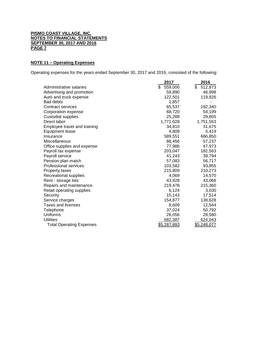## **NOTE 11 – Operating Expenses**

Operating expenses for the years ended September 30, 2017 and 2016, consisted of the following:

|                                 | 2017               | 2016          |
|---------------------------------|--------------------|---------------|
| Administrative salaries         | \$<br>559,000      | \$<br>512,873 |
| Advertising and promotion       | 59,890             | 46,998        |
| Auto and truck expense          | 122,501            | 119,826       |
| <b>Bad debts</b>                | 1,857              |               |
| Contract services               | 65,537             | 192,340       |
| Corporation expense             | 68,720             | 54,199        |
| <b>Custodial supplies</b>       | 25,289             | 29,805        |
| Direct labor                    | 1,771,028          | 1,751,553     |
| Employee travel and training    | 34,810             | 31,675        |
| Equipment lease                 | 4,809              | 5,419         |
| Insurance                       | 589,551            | 666,850       |
| Miscellaneous                   | 88,456             | 57,237        |
| Office supplies and expense     | 77,986             | 47,973        |
| Payroll tax expense             | 203,047            | 182,563       |
| Payroll service                 | 41,243             | 39,794        |
| Pension plan match              | 57,083             | 56,717        |
| <b>Professional services</b>    | 103,582            | 93,855        |
| Property taxes                  | 215,809            | 210,273       |
| Recreational supplies           | 4,069              | 14,570        |
| Rent - storage lots             | 43,928             | 43,066        |
| Repairs and maintenance         | 219,478            | 215,360       |
| Retail operating supplies       | 6,124              | 3,030         |
| Security                        | 15,143             | 17,514        |
| Service charges                 | 154,877            | 138,628       |
| Taxes and licenses              | 8,609              | 12,544        |
| Telephone                       | 37,024             | 50,792        |
| Uniforms                        | 26,056             | 28,580        |
| <b>Utilities</b>                | 682,387            | 624,043       |
| <b>Total Operating Expenses</b> | <u>\$5,287,893</u> | \$5,248,077   |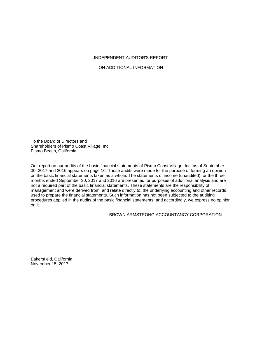## INDEPENDENT AUDITOR'S REPORT

## ON ADDITIONAL INFORMATION

To the Board of Directors and Shareholders of Pismo Coast Village, Inc. Pismo Beach, California

Our report on our audits of the basic financial statements of Pismo Coast Village, Inc. as of September 30, 2017 and 2016 appears on page 16. Those audits were made for the purpose of forming an opinion on the basic financial statements taken as a whole. The statements of income (unaudited) for the three months ended September 30, 2017 and 2016 are presented for purposes of additional analysis and are not a required part of the basic financial statements. These statements are the responsibility of management and were derived from, and relate directly to, the underlying accounting and other records used to prepare the financial statements. Such information has not been subjected to the auditing procedures applied in the audits of the basic financial statements, and accordingly, we express no opinion on it.

## BROWN ARMSTRONG ACCOUNTANCY CORPORATION

Bakersfield, California November 15, 2017